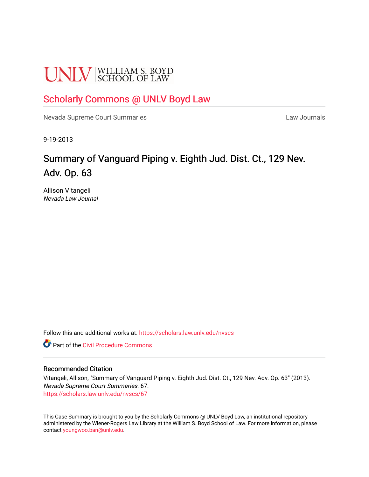# **UNLV** SCHOOL OF LAW

### [Scholarly Commons @ UNLV Boyd Law](https://scholars.law.unlv.edu/)

[Nevada Supreme Court Summaries](https://scholars.law.unlv.edu/nvscs) **Law Journals** Law Journals

9-19-2013

## Summary of Vanguard Piping v. Eighth Jud. Dist. Ct., 129 Nev. Adv. Op. 63

Allison Vitangeli Nevada Law Journal

Follow this and additional works at: [https://scholars.law.unlv.edu/nvscs](https://scholars.law.unlv.edu/nvscs?utm_source=scholars.law.unlv.edu%2Fnvscs%2F67&utm_medium=PDF&utm_campaign=PDFCoverPages)

**C** Part of the Civil Procedure Commons

#### Recommended Citation

Vitangeli, Allison, "Summary of Vanguard Piping v. Eighth Jud. Dist. Ct., 129 Nev. Adv. Op. 63" (2013). Nevada Supreme Court Summaries. 67. [https://scholars.law.unlv.edu/nvscs/67](https://scholars.law.unlv.edu/nvscs/67?utm_source=scholars.law.unlv.edu%2Fnvscs%2F67&utm_medium=PDF&utm_campaign=PDFCoverPages) 

This Case Summary is brought to you by the Scholarly Commons @ UNLV Boyd Law, an institutional repository administered by the Wiener-Rogers Law Library at the William S. Boyd School of Law. For more information, please contact [youngwoo.ban@unlv.edu](mailto:youngwoo.ban@unlv.edu).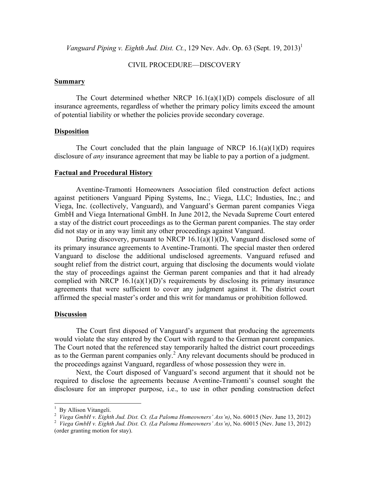*Vanguard Piping v. Eighth Jud. Dist. Ct.*, 129 Nev. Adv. Op. 63 (Sept. 19, 2013)<sup>1</sup>

#### CIVIL PROCEDURE—DISCOVERY

#### **Summary**

The Court determined whether NRCP  $16.1(a)(1)(D)$  compels disclosure of all insurance agreements, regardless of whether the primary policy limits exceed the amount of potential liability or whether the policies provide secondary coverage.

#### **Disposition**

The Court concluded that the plain language of NRCP  $16.1(a)(1)(D)$  requires disclosure of *any* insurance agreement that may be liable to pay a portion of a judgment.

#### **Factual and Procedural History**

Aventine-Tramonti Homeowners Association filed construction defect actions against petitioners Vanguard Piping Systems, Inc.; Viega, LLC; Industies, Inc.; and Viega, Inc. (collectively, Vanguard), and Vanguard's German parent companies Viega GmbH and Viega International GmbH. In June 2012, the Nevada Supreme Court entered a stay of the district court proceedings as to the German parent companies. The stay order did not stay or in any way limit any other proceedings against Vanguard.

During discovery, pursuant to NRCP  $16.1(a)(1)(D)$ , Vanguard disclosed some of its primary insurance agreements to Aventine-Tramonti. The special master then ordered Vanguard to disclose the additional undisclosed agreements. Vanguard refused and sought relief from the district court, arguing that disclosing the documents would violate the stay of proceedings against the German parent companies and that it had already complied with NRCP  $16.1(a)(1)(D)$ 's requirements by disclosing its primary insurance agreements that were sufficient to cover any judgment against it. The district court affirmed the special master's order and this writ for mandamus or prohibition followed.

#### **Discussion**

The Court first disposed of Vanguard's argument that producing the agreements would violate the stay entered by the Court with regard to the German parent companies. The Court noted that the referenced stay temporarily halted the district court proceedings as to the German parent companies only.<sup>2</sup> Any relevant documents should be produced in the proceedings against Vanguard, regardless of whose possession they were in.

Next, the Court disposed of Vanguard's second argument that it should not be required to disclose the agreements because Aventine-Tramonti's counsel sought the disclosure for an improper purpose, i.e., to use in other pending construction defect

 $\frac{1}{2}$  By Allison Vitangeli.<br> $\frac{2}{2}$  Visca Curk II v. Eighth Jud. Diet.

*Viega GmbH v. Eighth Jud. Dist. Ct. (La Paloma Homeowners' Ass'n)*, No. 60015 (Nev. June 13, 2012) <sup>2</sup>

*Viega GmbH v. Eighth Jud. Dist. Ct. (La Paloma Homeowners' Ass'n)*, No. 60015 (Nev. June 13, 2012) (order granting motion for stay).